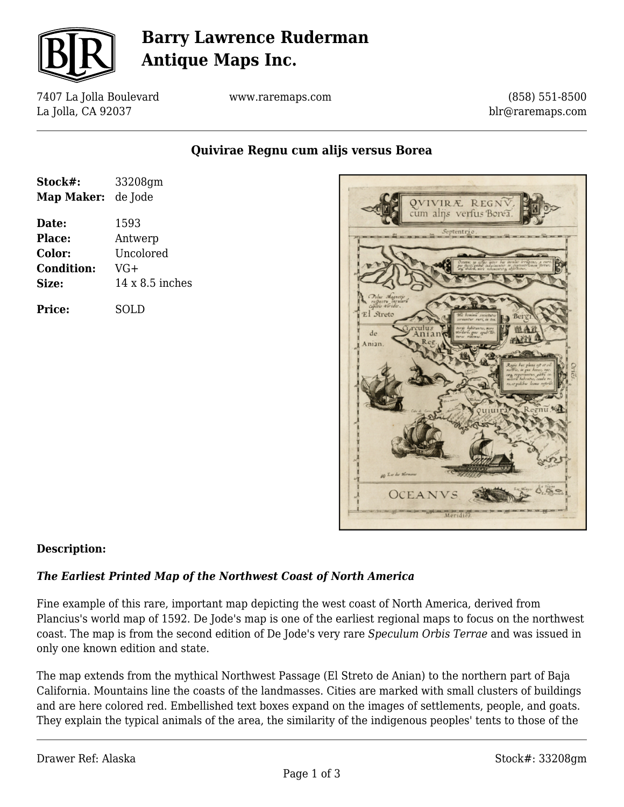

# **Barry Lawrence Ruderman Antique Maps Inc.**

7407 La Jolla Boulevard La Jolla, CA 92037

www.raremaps.com

(858) 551-8500 blr@raremaps.com

**Quivirae Regnu cum alijs versus Borea**

| Stock#:           | 33208gm                |
|-------------------|------------------------|
| <b>Map Maker:</b> | de Jode                |
| Date:             | 1593                   |
| Place:            | Antwerp                |
| Color:            | Uncolored              |
| <b>Condition:</b> | $VG+$                  |
| Size:             | $14 \times 8.5$ inches |
| <b>Price:</b>     | SOLD                   |



### **Description:**

#### *The Earliest Printed Map of the Northwest Coast of North America*

Fine example of this rare, important map depicting the west coast of North America, derived from Plancius's world map of 1592. De Jode's map is one of the earliest regional maps to focus on the northwest coast. The map is from the second edition of De Jode's very rare *Speculum Orbis Terrae* and was issued in only one known edition and state.

The map extends from the mythical Northwest Passage (El Streto de Anian) to the northern part of Baja California. Mountains line the coasts of the landmasses. Cities are marked with small clusters of buildings and are here colored red. Embellished text boxes expand on the images of settlements, people, and goats. They explain the typical animals of the area, the similarity of the indigenous peoples' tents to those of the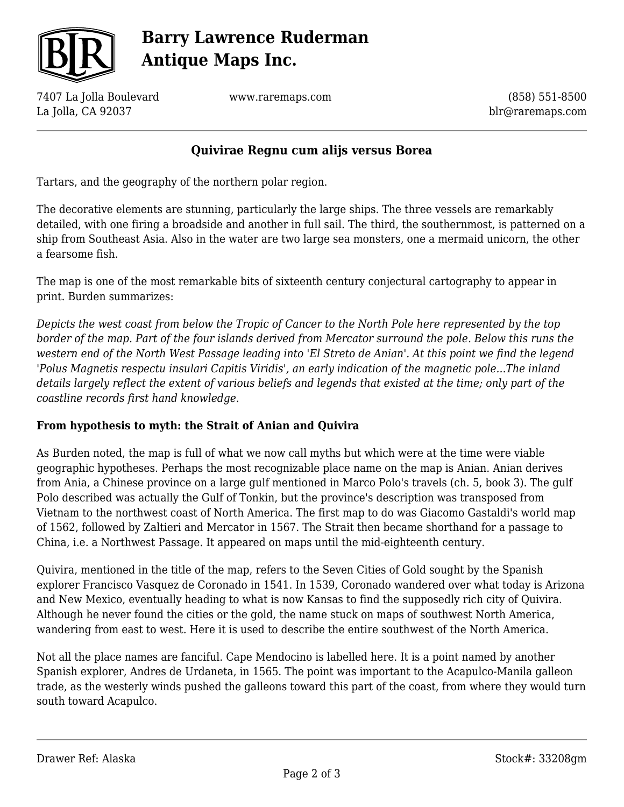

# **Barry Lawrence Ruderman Antique Maps Inc.**

7407 La Jolla Boulevard La Jolla, CA 92037

www.raremaps.com

(858) 551-8500 blr@raremaps.com

### **Quivirae Regnu cum alijs versus Borea**

Tartars, and the geography of the northern polar region.

The decorative elements are stunning, particularly the large ships. The three vessels are remarkably detailed, with one firing a broadside and another in full sail. The third, the southernmost, is patterned on a ship from Southeast Asia. Also in the water are two large sea monsters, one a mermaid unicorn, the other a fearsome fish.

The map is one of the most remarkable bits of sixteenth century conjectural cartography to appear in print. Burden summarizes:

*Depicts the west coast from below the Tropic of Cancer to the North Pole here represented by the top border of the map. Part of the four islands derived from Mercator surround the pole. Below this runs the western end of the North West Passage leading into 'El Streto de Anian'. At this point we find the legend 'Polus Magnetis respectu insulari Capitis Viridis', an early indication of the magnetic pole...The inland details largely reflect the extent of various beliefs and legends that existed at the time; only part of the coastline records first hand knowledge.*

### **From hypothesis to myth: the Strait of Anian and Quivira**

As Burden noted, the map is full of what we now call myths but which were at the time were viable geographic hypotheses. Perhaps the most recognizable place name on the map is Anian. Anian derives from Ania, a Chinese province on a large gulf mentioned in Marco Polo's travels (ch. 5, book 3). The gulf Polo described was actually the Gulf of Tonkin, but the province's description was transposed from Vietnam to the northwest coast of North America. The first map to do was Giacomo Gastaldi's world map of 1562, followed by Zaltieri and Mercator in 1567. The Strait then became shorthand for a passage to China, i.e. a Northwest Passage. It appeared on maps until the mid-eighteenth century.

Quivira, mentioned in the title of the map, refers to the Seven Cities of Gold sought by the Spanish explorer Francisco Vasquez de Coronado in 1541. In 1539, Coronado wandered over what today is Arizona and New Mexico, eventually heading to what is now Kansas to find the supposedly rich city of Quivira. Although he never found the cities or the gold, the name stuck on maps of southwest North America, wandering from east to west. Here it is used to describe the entire southwest of the North America.

Not all the place names are fanciful. Cape Mendocino is labelled here. It is a point named by another Spanish explorer, Andres de Urdaneta, in 1565. The point was important to the Acapulco-Manila galleon trade, as the westerly winds pushed the galleons toward this part of the coast, from where they would turn south toward Acapulco.